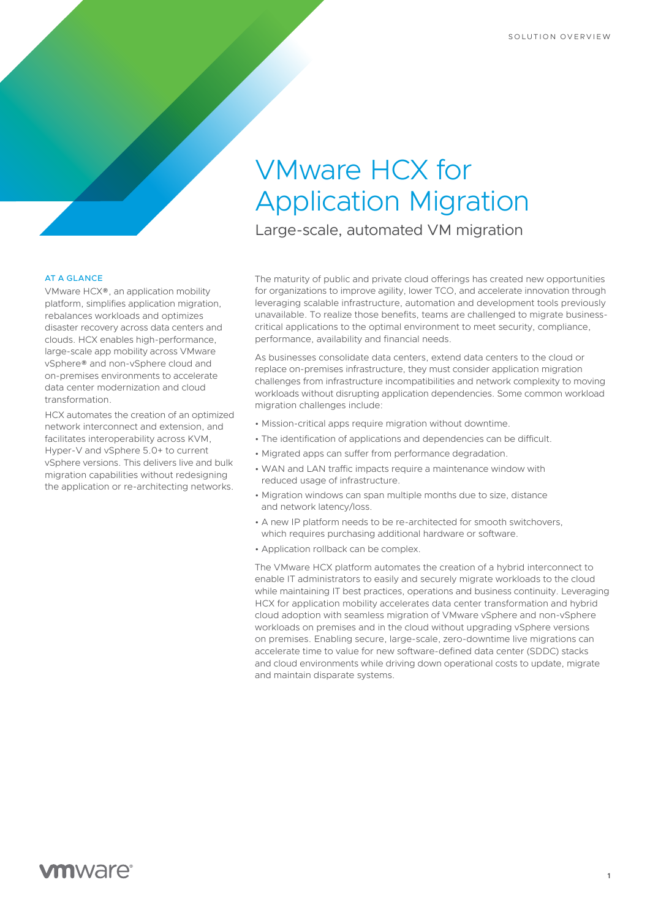## VMware HCX for Application Migration

Large-scale, automated VM migration

## AT A GLANCE

VMware HCX®, an application mobility platform, simplifies application migration, rebalances workloads and optimizes disaster recovery across data centers and clouds. HCX enables high-performance, large-scale app mobility across VMware vSphere® and non-vSphere cloud and on-premises environments to accelerate data center modernization and cloud transformation.

HCX automates the creation of an optimized network interconnect and extension, and facilitates interoperability across KVM, Hyper-V and vSphere 5.0+ to current vSphere versions. This delivers live and bulk migration capabilities without redesigning the application or re-architecting networks.

The maturity of public and private cloud offerings has created new opportunities for organizations to improve agility, lower TCO, and accelerate innovation through leveraging scalable infrastructure, automation and development tools previously unavailable. To realize those benefits, teams are challenged to migrate businesscritical applications to the optimal environment to meet security, compliance, performance, availability and financial needs.

As businesses consolidate data centers, extend data centers to the cloud or replace on-premises infrastructure, they must consider application migration challenges from infrastructure incompatibilities and network complexity to moving workloads without disrupting application dependencies. Some common workload migration challenges include:

- Mission-critical apps require migration without downtime.
- The identification of applications and dependencies can be difficult.
- Migrated apps can suffer from performance degradation.
- WAN and LAN traffic impacts require a maintenance window with reduced usage of infrastructure.
- Migration windows can span multiple months due to size, distance and network latency/loss.
- A new IP platform needs to be re-architected for smooth switchovers, which requires purchasing additional hardware or software.
- Application rollback can be complex.

The VMware HCX platform automates the creation of a hybrid interconnect to enable IT administrators to easily and securely migrate workloads to the cloud while maintaining IT best practices, operations and business continuity. Leveraging HCX for application mobility accelerates data center transformation and hybrid cloud adoption with seamless migration of VMware vSphere and non-vSphere workloads on premises and in the cloud without upgrading vSphere versions on premises. Enabling secure, large-scale, zero-downtime live migrations can accelerate time to value for new software-defined data center (SDDC) stacks and cloud environments while driving down operational costs to update, migrate and maintain disparate systems.

**1**